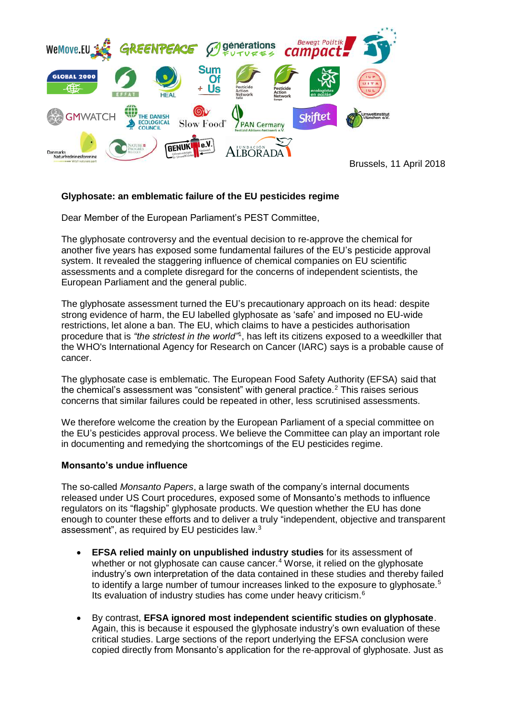

**Glyphosate: an emblematic failure of the EU pesticides regime**

Dear Member of the European Parliament's PEST Committee,

The glyphosate controversy and the eventual decision to re-approve the chemical for another five years has exposed some fundamental failures of the EU's pesticide approval system. It revealed the staggering influence of chemical companies on EU scientific assessments and a complete disregard for the concerns of independent scientists, the European Parliament and the general public.

The glyphosate assessment turned the EU's precautionary approach on its head: despite strong evidence of harm, the EU labelled glyphosate as 'safe' and imposed no EU-wide restrictions, let alone a ban. The EU, which claims to have a pesticides authorisation procedure that is *"the strictest in the world"*<sup>1</sup> , has left its citizens exposed to a weedkiller that the WHO's International Agency for Research on Cancer (IARC) says is a probable cause of cancer.

The glyphosate case is emblematic. The European Food Safety Authority (EFSA) said that the chemical's assessment was "consistent" with general practice. $2$  This raises serious concerns that similar failures could be repeated in other, less scrutinised assessments.

We therefore welcome the creation by the European Parliament of a special committee on the EU's pesticides approval process. We believe the Committee can play an important role in documenting and remedying the shortcomings of the EU pesticides regime.

## **Monsanto's undue influence**

The so-called *Monsanto Papers*, a large swath of the company's internal documents released under US Court procedures, exposed some of Monsanto's methods to influence regulators on its "flagship" glyphosate products. We question whether the EU has done enough to counter these efforts and to deliver a truly "independent, objective and transparent assessment", as required by EU pesticides law.<sup>3</sup>

- **EFSA relied mainly on unpublished industry studies** for its assessment of whether or not glyphosate can cause cancer.<sup>4</sup> Worse, it relied on the glyphosate industry's own interpretation of the data contained in these studies and thereby failed to identify a large number of tumour increases linked to the exposure to glyphosate.<sup>5</sup> Its evaluation of industry studies has come under heavy criticism.<sup>6</sup>
- By contrast, **EFSA ignored most independent scientific studies on glyphosate**. Again, this is because it espoused the glyphosate industry's own evaluation of these critical studies. Large sections of the report underlying the EFSA conclusion were copied directly from Monsanto's application for the re-approval of glyphosate. Just as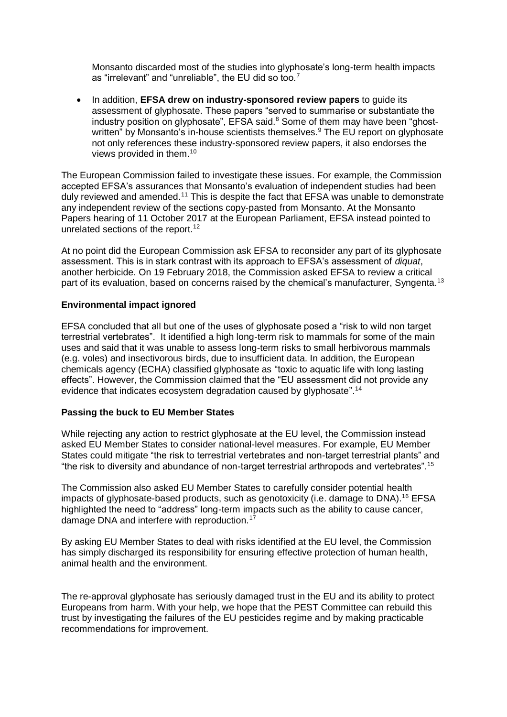Monsanto discarded most of the studies into glyphosate's long-term health impacts as "irrelevant" and "unreliable", the EU did so too.<sup>7</sup>

• In addition, **EFSA drew on industry-sponsored review papers** to guide its assessment of glyphosate. These papers "served to summarise or substantiate the industry position on glyphosate", EFSA said.<sup>8</sup> Some of them may have been "ghostwritten" by Monsanto's in-house scientists themselves.<sup>9</sup> The EU report on glyphosate not only references these industry-sponsored review papers, it also endorses the views provided in them.<sup>10</sup>

The European Commission failed to investigate these issues. For example, the Commission accepted EFSA's assurances that Monsanto's evaluation of independent studies had been duly reviewed and amended.<sup>11</sup> This is despite the fact that EFSA was unable to demonstrate any independent review of the sections copy-pasted from Monsanto. At the Monsanto Papers hearing of 11 October 2017 at the European Parliament, EFSA instead pointed to unrelated sections of the report.<sup>12</sup>

At no point did the European Commission ask EFSA to reconsider any part of its glyphosate assessment. This is in stark contrast with its approach to EFSA's assessment of *diquat*, another herbicide. On 19 February 2018, the Commission asked EFSA to review a critical part of its evaluation, based on concerns raised by the chemical's manufacturer, Syngenta.<sup>13</sup>

## **Environmental impact ignored**

EFSA concluded that all but one of the uses of glyphosate posed a "risk to wild non target terrestrial vertebrates". It identified a high long-term risk to mammals for some of the main uses and said that it was unable to assess long-term risks to small herbivorous mammals (e.g. voles) and insectivorous birds, due to insufficient data. In addition, the European chemicals agency (ECHA) classified glyphosate as "toxic to aquatic life with long lasting effects". However, the Commission claimed that the "EU assessment did not provide any evidence that indicates ecosystem degradation caused by glyphosate".<sup>14</sup>

## **Passing the buck to EU Member States**

While rejecting any action to restrict glyphosate at the EU level, the Commission instead asked EU Member States to consider national-level measures. For example, EU Member States could mitigate "the risk to terrestrial vertebrates and non-target terrestrial plants" and "the risk to diversity and abundance of non-target terrestrial arthropods and vertebrates".<sup>15</sup>

The Commission also asked EU Member States to carefully consider potential health impacts of glyphosate-based products, such as genotoxicity (i.e. damage to DNA).<sup>16</sup> EFSA highlighted the need to "address" long-term impacts such as the ability to cause cancer, damage DNA and interfere with reproduction.<sup>17</sup>

By asking EU Member States to deal with risks identified at the EU level, the Commission has simply discharged its responsibility for ensuring effective protection of human health, animal health and the environment.

The re-approval glyphosate has seriously damaged trust in the EU and its ability to protect Europeans from harm. With your help, we hope that the PEST Committee can rebuild this trust by investigating the failures of the EU pesticides regime and by making practicable recommendations for improvement.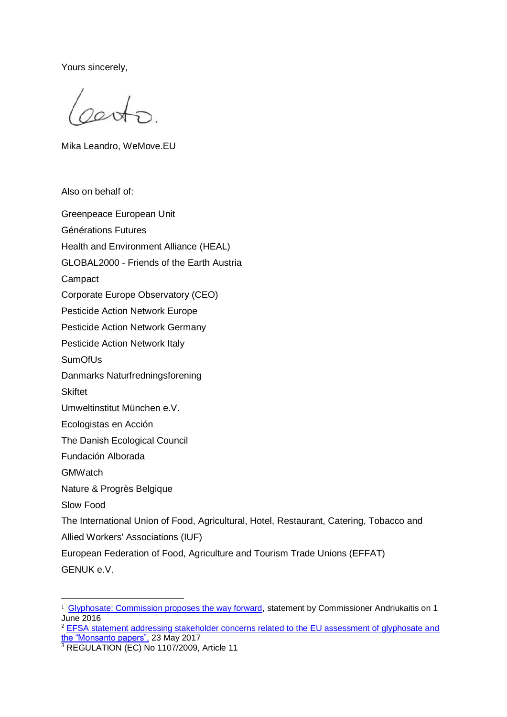Yours sincerely,

cento.

Mika Leandro, WeMove.EU

Also on behalf of:

Greenpeace European Unit Générations Futures Health and Environment Alliance (HEAL) GLOBAL2000 - Friends of the Earth Austria **Campact** Corporate Europe Observatory (CEO) Pesticide Action Network Europe Pesticide Action Network Germany Pesticide Action Network Italy **SumOfUs** Danmarks Naturfredningsforening **Skiftet** Umweltinstitut München e.V. Ecologistas en Acción The Danish Ecological Council Fundación Alborada **GMWatch** Nature & Progrès Belgique Slow Food The International Union of Food, Agricultural, Hotel, Restaurant, Catering, Tobacco and Allied Workers' Associations (IUF) European Federation of Food, Agriculture and Tourism Trade Unions (EFFAT) GENUK e.V.

<sup>1</sup> [Glyphosate: Commission proposes the way forward,](http://europa.eu/rapid/press-release_STATEMENT-16-2011_en.htm) statement by Commissioner Andriukaitis on 1 June 2016

<sup>&</sup>lt;sup>2</sup> EFSA statement addressing stakeholder concerns related to the EU assessment of glyphosate and [the "Monsanto papers",](http://www.efsa.europa.eu/sites/default/files/170523-efsa-statement-glyphosate.pdf) 23 May 2017

<sup>&</sup>lt;sup>3</sup> REGULATION (EC) No 1107/2009, Article 11